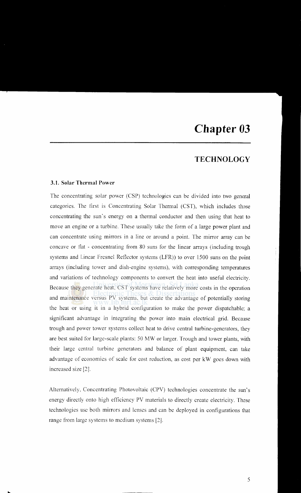# **Chapter 03**

## **TECHNOLOGY**

#### **3.1. Solar Thermal Power**

...

The concentrating solar power (CSP) technologies can be divided into two general categories. The tirst is Concentrating Solar Thermal (CST), which includes those concentrating the sun's energy on a thermal conductor and then using that heat to move an engine or a turbine. These usually take the form of a large power plant and can concentrate using mirrors in a line or around a point. The mirror array can be concave or flat - concentrating from 80 suns for the linear arrays (including trough systems and Linear Fresnel Reflector systems (LFR)) to over 1500 suns on the point arrays (including tower and dish-engine systems), with corresponding temperatures and variations of technology components to convert the heat into useful electricity. Because they generate heat, CST systems have relatively more costs in the operation and maintenance versus PV systems, but create the advantage of potentially storing the heat or using it in a hybrid configuration to make the power dispatchable; a significant advantage in integrating the power into main electrical grid. Because trough and power tower systems collect heat to drive central turbine-generators, they are best suited for large-scale plants: 50 MW or larger. Trough and tower plants, with their large central turbine generators and balance of plant equipment, can take advantage of economics of scale for cost reduction, as cost per kW goes down with increased size [2].

Alternatively, Concentrating Photovoltaic (CPV) technologies concentrate the sun's energy directly onto high efficiency PV materials to directly create electricity. These technologies usc both mirrors and lenses and can be deployed in configurations that range from large systems to medium systems [2].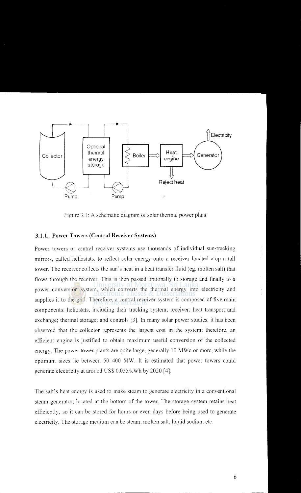

Figure 3.1: A schematic diagram of solar thermal power plant

#### **3.1.1. Power Towers (Central Receiver Systems)**

Power towers or central receiver systems use thousands of individual sun-tracking mirrors, called heliostats, to reflect solar energy onto a receiver located atop a tall tower. The receiver collects the sun's heat in a heat transfer fluid (eg. molten salt) that flows through the receiver. This is then passed optionally to storage and finally to a power conversion system, which converts the thermal energy into electricity and supplies it to the grid. Therefore, a central receiver system is composed of five main components: heliostats, including their tracking system; receiver; heat transport and exchange; thermal storage; and controls [3]. In many solar power studies, it has been observed that the collector represents the largest cost in the system; therefore, an efficient engine is justified to obtain maximum useful conversion of the collected energy. The power tower plants are quite large, generally 10 MWe or more, while the optimum sizes lie between 50-400 MW. It is estimated that power towers could generate electricity at around US\$ 0.055/kWh by 2020 [41.

The salt's heat energy is used to make steam to generate electricity in a conventional steam generator, located at the bottom of the tower. The storage system retains heat efficiently, so it can be stored for hours or even days before being used to generate electricity. The storage medium can be steam, molten salt, liquid sodium etc.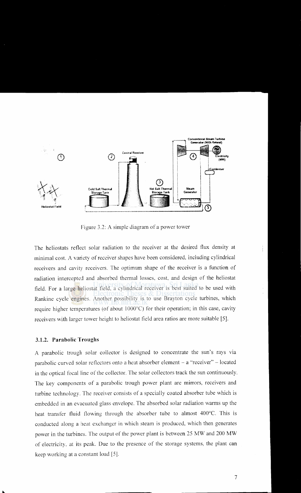

Figure 3.2: A simple diagram of a power tower

The heliostats reflect solar radiation to the receiver at the desired flux density at minimal cost. A variety of receiver shapes have been considered, including cylindrical receivers and cavity receivers. The optimum shape of the receiver is a function of radiation intercepted and absorbed thermal losses, cost, and design of the heliostat field. For a large heliostat field, a cylindrical receiver is best suited to be used with Rankine cycle engines. Another possibility is to use Brayton cycle turbines, which require higher temperatures (of about 1000°C) for their operation; in this case, cavity receivers with larger tower height to heliostat field area ratios are more suitable [5].

#### 3.1.2. Parabolic Troughs

A parabolic trough solar collector is designed to concentrate the sun's rays via parabolic curved solar reflectors onto a heat absorber element - a "receiver" - located in the optical focal line of the collector. The solar collectors track the sun continuously. The key components of a parabolic trough power plant are mirrors, receivers and turbine technology. The receiver consists of a specially coated absorber tube which is embedded in an evacuated glass envelope. The absorbed solar radiation warms up the heat transfer fluid flowing through the absorber tube to almost 400°C. This is conducted along a heat exchanger in which steam is produced, which then generates power in the turbines. The output of the power plant is between 25 MW and 200 MW of electricity, at its peak. Due to the presence of the storage systems, the plant can keep working at a constant load [5].